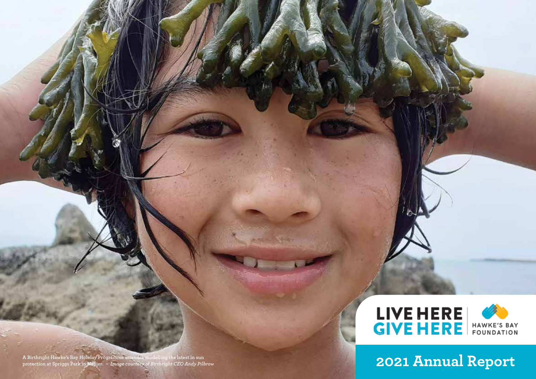

**A Birthright Hawke's Bay Holiday Programme attendee modelling the latest in sun protection at Spriggs Park in Napier.** *– Image courtesy of Birthright CEO Andy Pilbrow* **2021 Annual Report**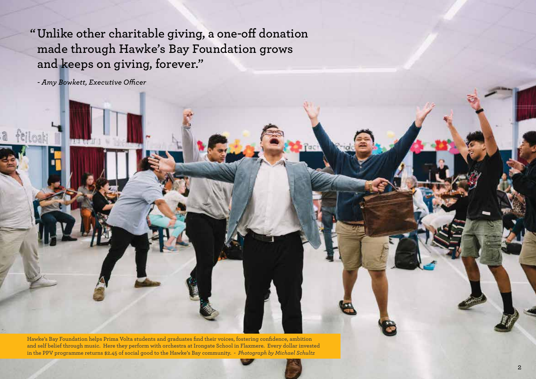**"Unlike other charitable giving, a one-off donation made through Hawke's Bay Foundation grows and keeps on giving, forever."**

*- Amy Bowkett, Executive Officer*

**Hawke's Bay Foundation helps Prima Volta students and graduates find their voices, fostering confidence, ambition and self belief through music. Here they perform with orchestra at Irongate School in Flaxmere. Every dollar invested in the PPV programme returns \$2.45 of social good to the Hawke's Bay community.** *- Photograph by Michael Schultz*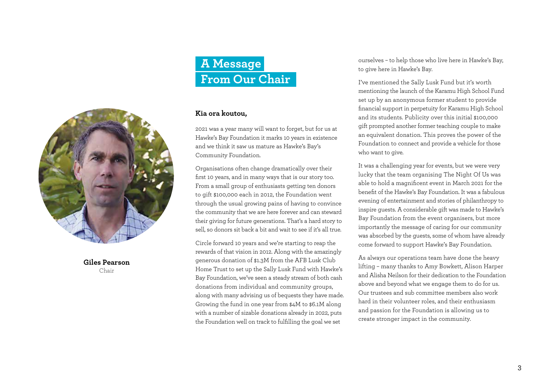

**Giles Pearson** Chair

# **A Message From Our Chair**

### **Kia ora koutou,**

2021 was a year many will want to forget, but for us at Hawke's Bay Foundation it marks 10 years in existence and we think it saw us mature as Hawke's Bay's Community Foundation.

Organisations often change dramatically over their first 10 years, and in many ways that is our story too. From a small group of enthusiasts getting ten donors to gift \$100,000 each in 2012, the Foundation went through the usual growing pains of having to convince the community that we are here forever and can steward their giving for future generations. That's a hard story to sell, so donors sit back a bit and wait to see if it's all true.

Circle forward 10 years and we're starting to reap the rewards of that vision in 2012. Along with the amazingly generous donation of \$1.3M from the AFB Lusk Club Home Trust to set up the Sally Lusk Fund with Hawke's Bay Foundation, we've seen a steady stream of both cash donations from individual and community groups, along with many advising us of bequests they have made. Growing the fund in one year from \$4M to \$6.1M along with a number of sizable donations already in 2022, puts the Foundation well on track to fulfilling the goal we set

ourselves – to help those who live here in Hawke's Bay, to give here in Hawke's Bay.

I've mentioned the Sally Lusk Fund but it's worth mentioning the launch of the Karamu High School Fund set up by an anonymous former student to provide financial support in perpetuity for Karamu High School and its students. Publicity over this initial \$100,000 gift prompted another former teaching couple to make an equivalent donation. This proves the power of the Foundation to connect and provide a vehicle for those who want to give.

It was a challenging year for events, but we were very lucky that the team organising The Night Of Us was able to hold a magnificent event in March 2021 for the benefit of the Hawke's Bay Foundation. It was a fabulous evening of entertainment and stories of philanthropy to inspire guests. A considerable gift was made to Hawke's Bay Foundation from the event organisers, but more importantly the message of caring for our community was absorbed by the guests, some of whom have already come forward to support Hawke's Bay Foundation.

As always our operations team have done the heavy lifting – many thanks to Amy Bowkett, Alison Harper and Alisha Neilson for their dedication to the Foundation above and beyond what we engage them to do for us. Our trustees and sub committee members also work hard in their volunteer roles, and their enthusiasm and passion for the Foundation is allowing us to create stronger impact in the community.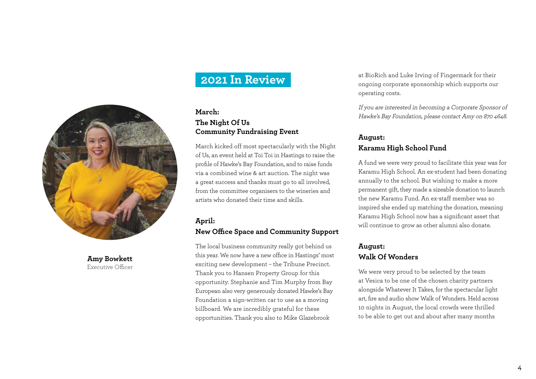

**Amy Bowkett** Executive Officer

## **2021 In Review**

### **March:**

### **The Night Of Us Community Fundraising Event**

March kicked off most spectacularly with the Night of Us, an event held at Toi Toi in Hastings to raise the profile of Hawke's Bay Foundation, and to raise funds via a combined wine & art auction. The night was a great success and thanks must go to all involved, from the committee organisers to the wineries and artists who donated their time and skills.

### **April:**

### **New Office Space and Community Support**

The local business community really got behind us this year. We now have a new office in Hastings' most exciting new development – the Tribune Precinct. Thank you to Hansen Property Group for this opportunity. Stephanie and Tim Murphy from Bay European also very generously donated Hawke's Bay Foundation a sign-written car to use as a moving billboard. We are incredibly grateful for these opportunities. Thank you also to Mike Glazebrook

at BioRich and Luke Irving of Fingermark for their ongoing corporate sponsorship which supports our operating costs.

If you are interested in becoming a Corporate Sponsor of Hawke's Bay Foundation, please contact Amy on 870 4648.

### **August: Karamu High School Fund**

A fund we were very proud to facilitate this year was for Karamu High School. An ex-student had been donating annually to the school. But wishing to make a more permanent gift, they made a sizeable donation to launch the new Karamu Fund. An ex-staff member was so inspired she ended up matching the donation, meaning Karamu High School now has a significant asset that will continue to grow as other alumni also donate.

## **August: Walk Of Wonders**

We were very proud to be selected by the team at Vesica to be one of the chosen charity partners alongside Whatever It Takes, for the spectacular light art, fire and audio show Walk of Wonders. Held across 10 nights in August, the local crowds were thrilled to be able to get out and about after many months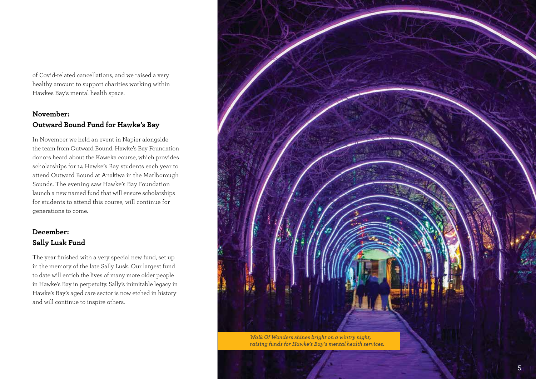of Covid-related cancellations, and we raised a very healthy amount to support charities working within Hawkes Bay's mental health space.

## **November: Outward Bound Fund for Hawke's Bay**

In November we held an event in Napier alongside the team from Outward Bound. Hawke's Bay Foundation donors heard about the Kaweka course, which provides scholarships for 14 Hawke's Bay students each year to attend Outward Bound at Anakiwa in the Marlborough Sounds. The evening saw Hawke's Bay Foundation launch a new named fund that will ensure scholarships for students to attend this course, will continue for generations to come.

## **December: Sally Lusk Fund**

The year finished with a very special new fund, set up in the memory of the late Sally Lusk. Our largest fund to date will enrich the lives of many more older people in Hawke's Bay in perpetuity. Sally's inimitable legacy in Hawke's Bay's aged care sector is now etched in history and will continue to inspire others.

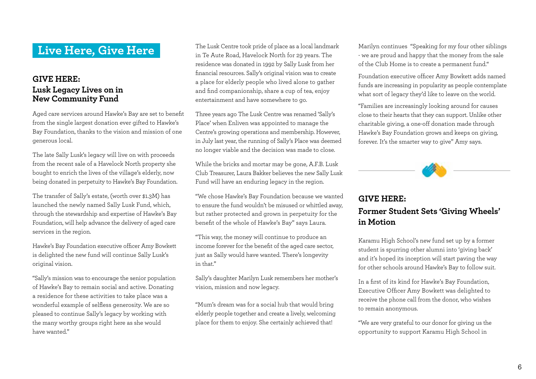## **Live Here, Give Here**

## **GIVE HERE: Lusk Legacy Lives on in New Community Fund**

Aged care services around Hawke's Bay are set to benefit from the single largest donation ever gifted to Hawke's Bay Foundation, thanks to the vision and mission of one generous local.

The late Sally Lusk's legacy will live on with proceeds from the recent sale of a Havelock North property she bought to enrich the lives of the village's elderly, now being donated in perpetuity to Hawke's Bay Foundation.

The transfer of Sally's estate, (worth over \$1.3M) has launched the newly named Sally Lusk Fund, which, through the stewardship and expertise of Hawke's Bay Foundation, will help advance the delivery of aged care services in the region.

Hawke's Bay Foundation executive officer Amy Bowkett is delighted the new fund will continue Sally Lusk's original vision.

"Sally's mission was to encourage the senior population of Hawke's Bay to remain social and active. Donating a residence for these activities to take place was a wonderful example of selfless generosity. We are so pleased to continue Sally's legacy by working with the many worthy groups right here as she would have wanted."

The Lusk Centre took pride of place as a local landmark in Te Aute Road, Havelock North for 29 years. The residence was donated in 1992 by Sally Lusk from her financial resources. Sally's original vision was to create a place for elderly people who lived alone to gather and find companionship, share a cup of tea, enjoy entertainment and have somewhere to go.

Three years ago The Lusk Centre was renamed 'Sally's Place' when Enliven was appointed to manage the Centre's growing operations and membership. However, in July last year, the running of Sally's Place was deemed no longer viable and the decision was made to close.

While the bricks and mortar may be gone, A.F.B. Lusk Club Treasurer, Laura Bakker believes the new Sally Lusk Fund will have an enduring legacy in the region.

"We chose Hawke's Bay Foundation because we wanted to ensure the fund wouldn't be misused or whittled away, but rather protected and grown in perpetuity for the benefit of the whole of Hawke's Bay" says Laura.

"This way, the money will continue to produce an income forever for the benefit of the aged care sector, just as Sally would have wanted. There's longevity in that."

Sally's daughter Marilyn Lusk remembers her mother's vision, mission and now legacy.

"Mum's dream was for a social hub that would bring elderly people together and create a lively, welcoming place for them to enjoy. She certainly achieved that!

Marilyn continues "Speaking for my four other siblings - we are proud and happy that the money from the sale of the Club Home is to create a permanent fund."

Foundation executive officer Amy Bowkett adds named funds are increasing in popularity as people contemplate what sort of legacy they'd like to leave on the world.

"Families are increasingly looking around for causes close to their hearts that they can support. Unlike other charitable giving, a one-off donation made through Hawke's Bay Foundation grows and keeps on giving, forever. It's the smarter way to give" Amy says.



## **GIVE HERE: Former Student Sets 'Giving Wheels' in Motion**

Karamu High School's new fund set up by a former student is spurring other alumni into 'giving back' and it's hoped its inception will start paving the way for other schools around Hawke's Bay to follow suit.

In a first of its kind for Hawke's Bay Foundation, Executive Officer Amy Bowkett was delighted to receive the phone call from the donor, who wishes to remain anonymous.

"We are very grateful to our donor for giving us the opportunity to support Karamu High School in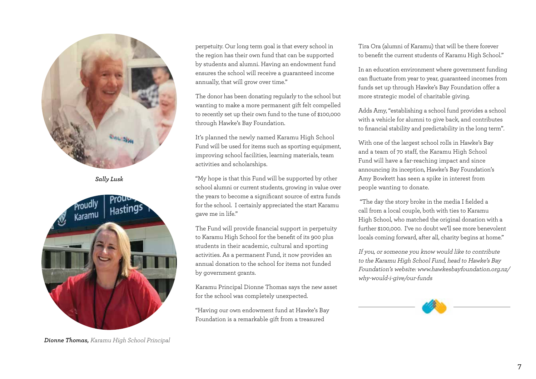

*Sally Lusk*



perpetuity. Our long term goal is that every school in the region has their own fund that can be supported by students and alumni. Having an endowment fund ensures the school will receive a guaranteed income annually, that will grow over time."

The donor has been donating regularly to the school but wanting to make a more permanent gift felt compelled to recently set up their own fund to the tune of \$100,000 through Hawke's Bay Foundation.

It's planned the newly named Karamu High School Fund will be used for items such as sporting equipment, improving school facilities, learning materials, team activities and scholarships.

"My hope is that this Fund will be supported by other school alumni or current students, growing in value over the years to become a significant source of extra funds for the school. I certainly appreciated the start Karamu gave me in life."

The Fund will provide financial support in perpetuity to Karamu High School for the benefit of its 900 plus students in their academic, cultural and sporting activities. As a permanent Fund, it now provides an annual donation to the school for items not funded by government grants.

Karamu Principal Dionne Thomas says the new asset for the school was completely unexpected.

"Having our own endowment fund at Hawke's Bay Foundation is a remarkable gift from a treasured

Tira Ora (alumni of Karamu) that will be there forever to benefit the current students of Karamu High School."

In an education environment where government funding can fluctuate from year to year, guaranteed incomes from funds set up through Hawke's Bay Foundation offer a more strategic model of charitable giving.

Adds Amy, "establishing a school fund provides a school with a vehicle for alumni to give back, and contributes to financial stability and predictability in the long term".

With one of the largest school rolls in Hawke's Bay and a team of 70 staff, the Karamu High School Fund will have a far-reaching impact and since announcing its inception, Hawke's Bay Foundation's Amy Bowkett has seen a spike in interest from people wanting to donate.

"The day the story broke in the media I fielded a call from a local couple, both with ties to Karamu High School, who matched the original donation with a further \$100,000. I've no doubt we'll see more benevolent locals coming forward, after all, charity begins at home."

If you, or someone you know would like to contribute to the Karamu High School Fund, head to Hawke's Bay Foundation's website: www.hawkesbayfoundation.org.nz/ why-would-i-give/our-funds



*Dionne Thomas,* Karamu High School Principal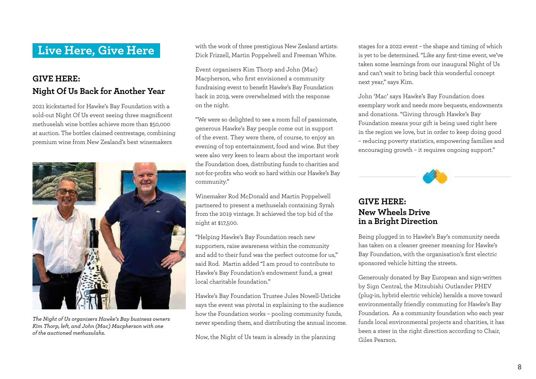## **GIVE HERE: Night Of Us Back for Another Year**

2021 kickstarted for Hawke's Bay Foundation with a sold-out Night Of Us event seeing three magnificent methuselah wine bottles achieve more than \$50,000 at auction. The bottles claimed centrestage, combining premium wine from New Zealand's best winemakers



*The Night of Us organisers Hawke's Bay business owners Kim Thorp, left, and John (Mac) Macpherson with one of the auctioned methusulahs.*

**Live Here, Give Here** With the work of three prestigious New Zealand artists: Dick Frizzell, Martin Poppelwell and Freeman White.

> Event organisers Kim Thorp and John (Mac) Macpherson, who first envisioned a community fundraising event to benefit Hawke's Bay Foundation back in 2019, were overwhelmed with the response on the night.

"We were so delighted to see a room full of passionate, generous Hawke's Bay people come out in support of the event. They were there, of course, to enjoy an evening of top entertainment, food and wine. But they were also very keen to learn about the important work the Foundation does, distributing funds to charities and not-for-profits who work so hard within our Hawke's Bay community."

Winemaker Rod McDonald and Martin Poppelwell partnered to present a methuselah containing Syrah from the 2019 vintage. It achieved the top bid of the night at \$17,500.

"Helping Hawke's Bay Foundation reach new supporters, raise awareness within the community and add to their fund was the perfect outcome for us," said Rod. Martin added "I am proud to contribute to Hawke's Bay Foundation's endowment fund, a great local charitable foundation."

Hawke's Bay Foundation Trustee Jules Nowell-Usticke says the event was pivotal in explaining to the audience how the Foundation works – pooling community funds, never spending them, and distributing the annual income.

Now, the Night of Us team is already in the planning

stages for a 2022 event – the shape and timing of which is yet to be determined. "Like any first-time event, we've taken some learnings from our inaugural Night of Us and can't wait to bring back this wonderful concept next year," says Kim.

John 'Mac' says Hawke's Bay Foundation does exemplary work and needs more bequests, endowments and donations. "Giving through Hawke's Bay Foundation means your gift is being used right here in the region we love, but in order to keep doing good – reducing poverty statistics, empowering families and encouraging growth – it requires ongoing support."



## **GIVE HERE: New Wheels Drive in a Bright Direction**

Being plugged in to Hawke's Bay's community needs has taken on a cleaner greener meaning for Hawke's Bay Foundation, with the organisation's first electric sponsored vehicle hitting the streets.

Generously donated by Bay European and sign-written by Sign Central, the Mitsubishi Outlander PHEV (plug-in, hybrid electric vehicle) heralds a move toward environmentally friendly commuting for Hawke's Bay Foundation. As a community foundation who each year funds local environmental projects and charities, it has been a steer in the right direction according to Chair, Giles Pearson.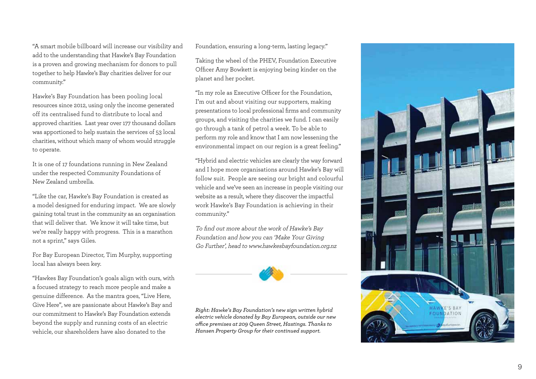"A smart mobile billboard will increase our visibility and add to the understanding that Hawke's Bay Foundation is a proven and growing mechanism for donors to pull together to help Hawke's Bay charities deliver for our community."

Hawke's Bay Foundation has been pooling local resources since 2012, using only the income generated off its centralised fund to distribute to local and approved charities. Last year over 177 thousand dollars was apportioned to help sustain the services of 53 local charities, without which many of whom would struggle to operate.

It is one of 17 foundations running in New Zealand under the respected Community Foundations of New Zealand umbrella.

"Like the car, Hawke's Bay Foundation is created as a model designed for enduring impact. We are slowly gaining total trust in the community as an organisation that will deliver that. We know it will take time, but we're really happy with progress. This is a marathon not a sprint," says Giles.

For Bay European Director, Tim Murphy, supporting local has always been key.

"Hawkes Bay Foundation's goals align with ours, with a focused strategy to reach more people and make a genuine difference. As the mantra goes, "Live Here, Give Here", we are passionate about Hawke's Bay and our commitment to Hawke's Bay Foundation extends beyond the supply and running costs of an electric vehicle, our shareholders have also donated to the

Foundation, ensuring a long-term, lasting legacy."

Taking the wheel of the PHEV, Foundation Executive Officer Amy Bowkett is enjoying being kinder on the planet and her pocket.

"In my role as Executive Officer for the Foundation, I'm out and about visiting our supporters, making presentations to local professional firms and community groups, and visiting the charities we fund. I can easily go through a tank of petrol a week. To be able to perform my role and know that I am now lessening the environmental impact on our region is a great feeling."

"Hybrid and electric vehicles are clearly the way forward and I hope more organisations around Hawke's Bay will follow suit. People are seeing our bright and colourful vehicle and we've seen an increase in people visiting our website as a result, where they discover the impactful work Hawke's Bay Foundation is achieving in their community."

To find out more about the work of Hawke's Bay Foundation and how you can 'Make Your Giving Go Further', head to www.hawkesbayfoundation.org.nz



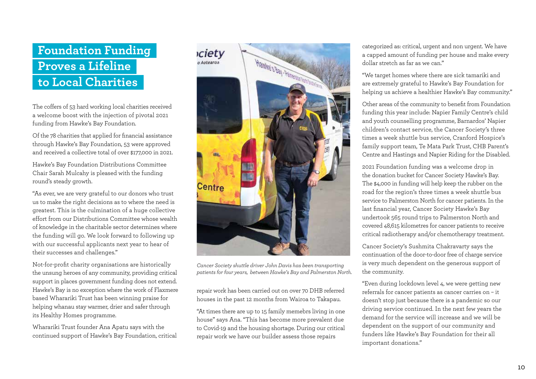# **Foundation Funding Proves a Lifeline to Local Charities**

The coffers of 53 hard working local charities received a welcome boost with the injection of pivotal 2021 funding from Hawke's Bay Foundation.

Of the 78 charities that applied for financial assistance through Hawke's Bay Foundation, 53 were approved and received a collective total of over \$177,000 in 2021.

Hawke's Bay Foundation Distributions Committee Chair Sarah Mulcahy is pleased with the funding round's steady growth.

"As ever, we are very grateful to our donors who trust us to make the right decisions as to where the need is greatest. This is the culmination of a huge collective effort from our Distributions Committee whose wealth of knowledge in the charitable sector determines where the funding will go. We look forward to following up with our successful applicants next year to hear of their successes and challenges."

Not-for-profit charity organisations are historically the unsung heroes of any community, providing critical support in places government funding does not extend. Hawke's Bay is no exception where the work of Flaxmere based Wharariki Trust has been winning praise for helping whanau stay warmer, drier and safer through its Healthy Homes programme.

Wharariki Trust founder Ana Apatu says with the continued support of Hawke's Bay Foundation, critical



*Cancer Society shuttle driver John Davis has been transporting patients for four years, between Hawke's Bay and Palmerston North.*

repair work has been carried out on over 70 DHB referred houses in the past 12 months from Wairoa to Takapau.

"At times there are up to 15 family memebrs living in one house" says Ana. "This has become more prevalent due to Covid-19 and the housing shortage. During our critical repair work we have our builder assess those repairs

categorized as: critical, urgent and non urgent. We have a capped amount of funding per house and make every dollar stretch as far as we can."

"We target homes where there are sick tamariki and are extremely grateful to Hawke's Bay Foundation for helping us achieve a healthier Hawke's Bay community."

Other areas of the community to benefit from Foundation funding this year include: Napier Family Centre's child and youth counselling programme, Barnardos' Napier children's contact service, the Cancer Society's three times a week shuttle bus service, Cranford Hospice's family support team, Te Mata Park Trust, CHB Parent's Centre and Hastings and Napier Riding for the Disabled.

2021 Foundation funding was a welcome drop in the donation bucket for Cancer Society Hawke's Bay. The \$4,000 in funding will help keep the rubber on the road for the region's three times a week shuttle bus service to Palmerston North for cancer patients. In the last financial year, Cancer Society Hawke's Bay undertook 565 round trips to Palmerston North and covered 48,615 kilometres for cancer patients to receive critical radiotherapy and/or chemotherapy treatment.

Cancer Society's Sushmita Chakravarty says the continuation of the door-to-door free of charge service is very much dependent on the generous support of the community.

"Even during lockdown level 4, we were getting new referrals for cancer patients as cancer carries on – it doesn't stop just because there is a pandemic so our driving service continued. In the next few years the demand for the service will increase and we will be dependent on the support of our community and funders like Hawke's Bay Foundation for their all important donations."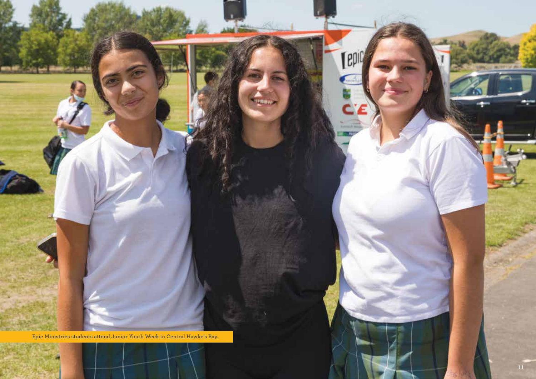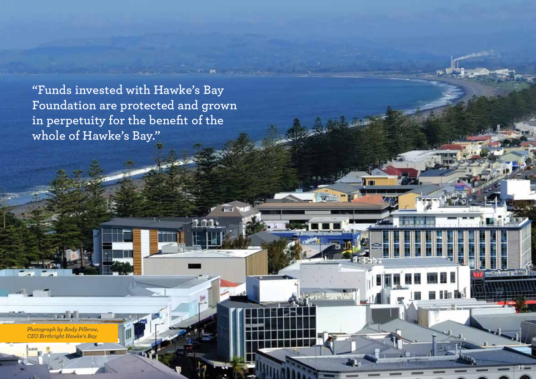**"Funds invested with Hawke's Bay Foundation are protected and grown in perpetuity for the benefit of the whole of Hawke's Bay."**

**Tard No** 

12

*Photograph by Andy Pilbrow, CEO Birthright Hawke's Bay*

and the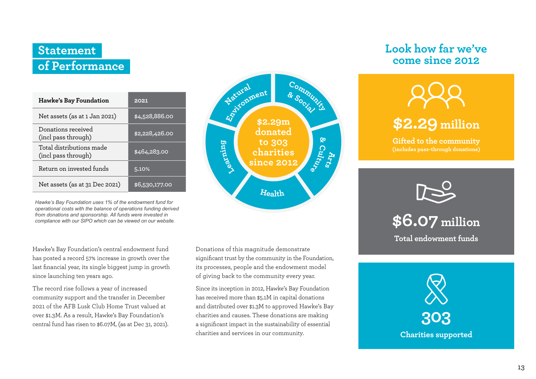# **Statement of Performance**

| Hawke's Bay Foundation                          | 2021           |
|-------------------------------------------------|----------------|
| Net assets (as at 1 Jan 2021)                   | \$4,528,886.00 |
| Donations received<br>(incl pass through)       | \$2,228,426.00 |
| Total distributions made<br>(incl pass through) | \$464,283.00   |
| Return on invested funds                        | 5.10%          |
| Net assets (as at 31 Dec 2021)                  | \$6,530,177.00 |

*Hawke's Bay Foundation uses 1% of the endowment fund for operational costs with the balance of operations funding derived from donations and sponsorship. All funds were invested in compliance with our SIPO which can be viewed on our website.* 

Hawke's Bay Foundation's central endowment fund has posted a record 57% increase in growth over the last financial year, its single biggest jump in growth since launching ten years ago.

The record rise follows a year of increased community support and the transfer in December 2021 of the AFB Lusk Club Home Trust valued at over \$1.3M. As a result, Hawke's Bay Foundation's central fund has risen to \$6.07M, (as at Dec 31, 2021).



significant trust by the community in the Foundation, its processes, people and the endowment model of giving back to the community every year.

Donations of this magnitude demonstrate<br>
significant trust by the community in the Foundation,<br>
its processes, people and the endowment model<br>
of giving back to the community every year.<br>
Since its inception in 2012, Hawke Since its inception in 2012, Hawke's Bay Foundation has received more than \$5.1M in capital donations and distributed over \$1.3M to approved Hawke's Bay charities and causes. These donations are making a significant impact in the sustainability of essential charities and services in our community.

## **Look how far we've come since 2012**



**Gifted to the community (includes pass-through donations)**



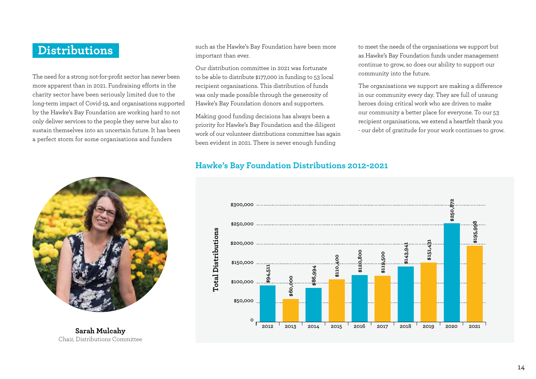## **Distributions**

The need for a strong not-for-profit sector has never been more apparent than in 2021. Fundraising efforts in the charity sector have been seriously limited due to the long-term impact of Covid-19, and organisations supported by the Hawke's Bay Foundation are working hard to not only deliver services to the people they serve but also to sustain themselves into an uncertain future. It has been a perfect storm for some organisations and funders



**Sarah Mulcahy** Chair, Distributions Committee such as the Hawke's Bay Foundation have been more important than ever.

Our distribution committee in 2021 was fortunate to be able to distribute \$177,000 in funding to 53 local recipient organisations. This distribution of funds was only made possible through the generosity of Hawke's Bay Foundation donors and supporters.

Making good funding decisions has always been a priority for Hawke's Bay Foundation and the diligent work of our volunteer distributions committee has again been evident in 2021. There is never enough funding

to meet the needs of the organisations we support but as Hawke's Bay Foundation funds under management continue to grow, so does our ability to support our community into the future.

The organisations we support are making a difference in our community every day. They are full of unsung heroes doing critical work who are driven to make our community a better place for everyone. To our 53 recipient organisations, we extend a heartfelt thank you - our debt of gratitude for your work continues to grow.

## **Hawke's Bay Foundation Distributions 2012-2021**

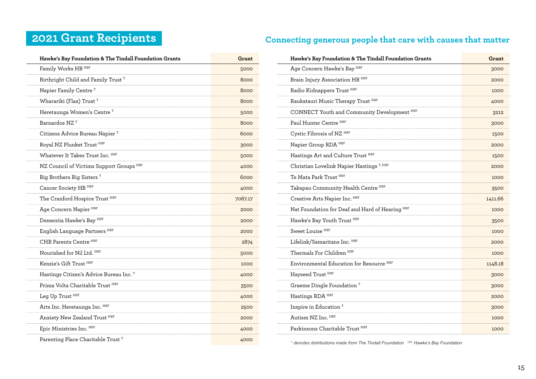| Hawke's Bay Foundation & The Tindall Foundation Grants | Grant   |
|--------------------------------------------------------|---------|
| Family Works HB HBF                                    | 5000    |
| Birthright Child and Family Trust T                    | 8000    |
| Napier Family Centre <sup>T</sup>                      | 8000    |
| Wharariki (Flax) Trust <sup>T</sup>                    | 8000    |
| Heretaunga Women's Centre <sup>T</sup>                 | 5000    |
| Barnardos NZ <sup>T</sup>                              | 8000    |
| Citizens Advice Bureau Napier <sup>T</sup>             | 6000    |
| Royal NZ Plunket Trust HBF                             | 3000    |
| Whatever It Takes Trust Inc. HBF                       | 5000    |
| NZ Council of Victims Support Groups HBF               | 4000    |
| Big Brothers Big Sisters <sup>T</sup>                  | 6000    |
| Cancer Society HB HBF                                  | 4000    |
| The Cranford Hospice Trust HBF                         | 7067.17 |
| Age Concern Napier HBF                                 | 2000    |
| Dementia Hawke's Bay HBF                               | 2000    |
| English Language Partners HBF                          | 2000    |
| CHB Parents Centre HBF                                 | 2874    |
| Nourished for Nil Ltd. HBF                             | 5000    |
| Kenzie's Gift Trust HBF                                | 1000    |
| Hastings Citizen's Advice Bureau Inc. T                | 4000    |
| Prima Volta Charitable Trust HBF                       | 3500    |
| Leg Up Trust HBF                                       | 4000    |
| Arts Inc. Heretaunga Inc. HBF                          | 2500    |
| Anxiety New Zealand Trust HBF                          | 2000    |
| Epic Ministries Inc. HBF                               | 4000    |
| Parenting Place Charitable Trust <sup>T</sup>          | 4000    |

# **2021 Grant Recipients Connecting generous people that care with causes that matter**

| Hawke's Bay Foundation & The Tindall Foundation Grants | Grant   |
|--------------------------------------------------------|---------|
| Age Concern Hawke's Bay HBF                            | 3000    |
| Brain Injury Association HB HBF                        | 2000    |
| Radio Kidnappers Trust HBF                             | 1000    |
| Raukatauri Music Therapy Trust HBF                     | 4000    |
| CONNECT Youth and Community Development HBF            | 3212    |
| Paul Hunter Centre HBF                                 | 3000    |
| Cystic Fibrosis of NZ <sup>HBF</sup>                   | 1500    |
| Napier Group RDA HBF                                   | 2000    |
| Hastings Art and Culture Trust HBF                     | 1500    |
| Christian Lovelink Napier Hastings <sup>T, HBF</sup>   | 2000    |
| Te Mata Park Trust HBF                                 | 1000    |
| Takapau Community Health Centre HBF                    | 3500    |
| Creative Arts Napier Inc. HBF                          | 1411.66 |
| Nat Foundation for Deaf and Hard of Hearing HBF        | 1000    |
| Hawke's Bay Youth Trust HBF                            | 3500    |
| Sweet Louise <sup>HBF</sup>                            | 1000    |
| Lifelink/Samaritans Inc. HBF                           | 2000    |
| Thermals For Children HBF                              | 1000    |
| Environmental Education for Resource HBF               | 1148.18 |
| Hayseed Trust HBF                                      | 3000    |
| Graeme Dingle Foundation <sup>T</sup>                  | 3000    |
| Hastings RDA HBF                                       | 2000    |
| Inspire in Education <sup>T</sup>                      | 3000    |
| Autism NZ Inc. HBF                                     | 1000    |
| Parkinsons Charitable Trust HBF                        | 1000    |

<sup>T</sup> denotes distributions made from The Tindall Foundation **FIBF** Hawke's Bay Foundation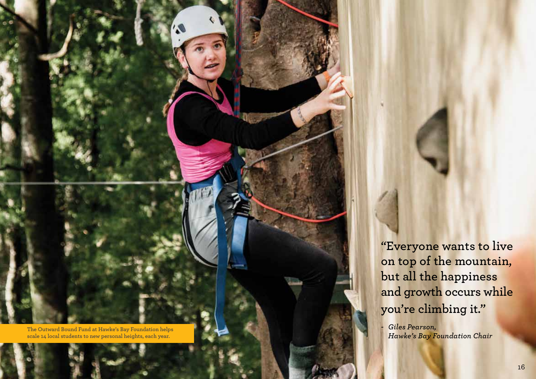**The Outward Bound Fund at Hawke's Bay Foundation helps scale 14 local students to new personal heights, each year.**

**"Everyone wants to live on top of the mountain, but all the happiness and growth occurs while you're climbing it."**

*- Giles Pearson, Hawke's Bay Foundation Chair*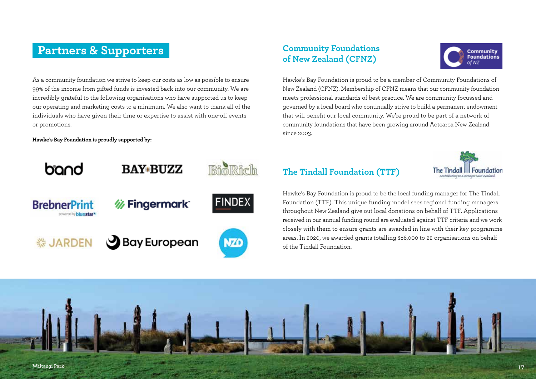## **Partners & Supporters**  Community Foundations

As a community foundation we strive to keep our costs as low as possible to ensure 99% of the income from gifted funds is invested back into our community. We are incredibly grateful to the following organisations who have supported us to keep our operating and marketing costs to a minimum. We also want to thank all of the individuals who have given their time or expertise to assist with one-off events or promotions.

### **Hawke's Bay Foundation is proudly supported by:**



# **of New Zealand (CFNZ)**



Hawke's Bay Foundation is proud to be a member of Community Foundations of New Zealand (CFNZ). Membership of CFNZ means that our community foundation meets professional standards of best practice. We are community focussed and governed by a local board who continually strive to build a permanent endowment that will benefit our local community. We're proud to be part of a network of community foundations that have been growing around Aotearoa New Zealand since 2003.

## **The Tindall Foundation (TTF)**



Hawke's Bay Foundation is proud to be the local funding manager for The Tindall Foundation (TTF). This unique funding model sees regional funding managers throughout New Zealand give out local donations on behalf of TTF. Applications received in our annual funding round are evaluated against TTF criteria and we work closely with them to ensure grants are awarded in line with their key programme areas. In 2020, we awarded grants totalling \$88,000 to 22 organisations on behalf of the Tindall Foundation.

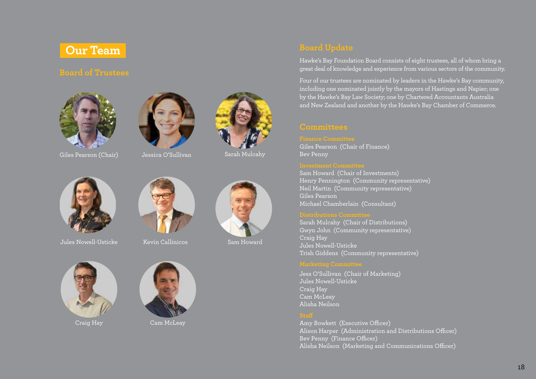







Giles Pearson (Chair) Jessica O'Sullivan Sarah Mulcahy



Jules Nowell-Usticke Kevin Callinicos Sam Howard









Craig Hay Cam McLeay



Hawke's Bay Foundation Board consists of eight trustees, all of whom bring a great deal of knowledge and experience from various sectors of the community.

Four of our trustees are nominated by leaders in the Hawke's Bay community, including one nominated jointly by the mayors of Hastings and Napier; one by the Hawke's Bay Law Society; one by Chartered Accountants Australia and New Zealand and another by the Hawke's Bay Chamber of Commerce.

Giles Pearson (Chair of Finance) Bev Penny

Sam Howard (Chair of Investments) Henry Pennington (Community representative) Neil Martin (Community representative) Giles Pearson Michael Chamberlain (Consultant)

Sarah Mulcahy (Chair of Distributions) Gwyn John (Community representative) Craig Hay Jules Nowell-Usticke Trish Giddens (Community representative)

Jess O'Sullivan (Chair of Marketing) Jules Nowell-Usticke Craig Hay Cam McLeay Alisha Neilson

Amy Bowkett (Executive Officer) Alison Harper (Administration and Distributions Officer) Bev Penny (Finance Officer) Alisha Neilson (Marketing and Communications Officer)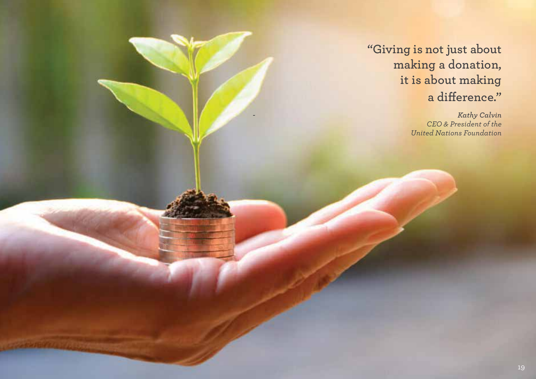**"Giving is not just about making a donation, it is about making a difference."**

> *- Kathy Calvin CEO & President of the United Nations Foundation*